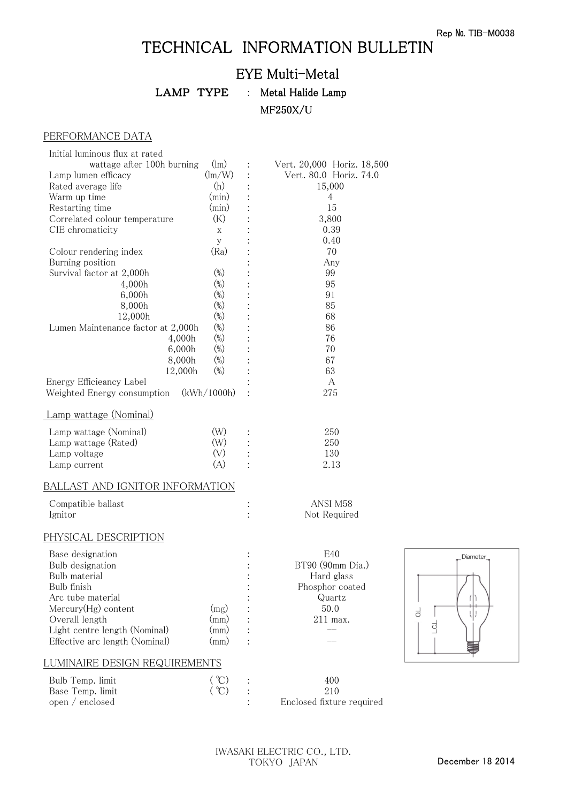## TECHNICAL INFORMATION BULLETIN

## EYE Multi-Metal

LAMP TYPE : Metal Halide Lamp MF250X/U

## PERFORMANCE DATA

| Initial luminous flux at rated       |                                           |   |                            |
|--------------------------------------|-------------------------------------------|---|----------------------------|
| wattage after 100h burning           | $(\text{lm})$                             |   | Vert. 20,000 Horiz. 18,500 |
| Lamp lumen efficacy                  | $\left(\frac{\text{Im}}{\text{W}}\right)$ |   | Vert. 80.0 Horiz. 74.0     |
| Rated average life                   | (h)                                       |   | 15,000                     |
| Warm up time                         | (min)                                     |   | 4                          |
| Restarting time                      | $(\min)$                                  |   | 15                         |
| Correlated colour temperature        | (K)                                       |   | 3,800                      |
| CIE chromaticity                     | X                                         |   | 0.39                       |
|                                      | У                                         |   | 0.40                       |
| Colour rendering index               | (Ra)                                      |   | 70                         |
| Burning position                     |                                           |   | Any                        |
| Survival factor at 2,000h            | $(\%)$                                    |   | 99                         |
| 4,000h                               | $(\%)$                                    |   | 95                         |
| 6,000h                               | $(\%)$                                    |   | 91                         |
| 8,000h                               | $(\%)$                                    |   | 85                         |
| 12,000h                              | $(\%)$                                    |   | 68                         |
| Lumen Maintenance factor at 2,000h   | $(\%)$                                    |   | 86                         |
| 4,000h                               | $(\%)$                                    |   | 76                         |
| 6,000h                               | $(\%)$                                    |   | 70                         |
| 8,000h                               | $(\%)$                                    |   | 67                         |
| 12,000h                              | $(\%)$                                    |   | 63                         |
| Energy Efficieancy Label             |                                           |   | A                          |
| Weighted Energy consumption          | (kWh/1000h)                               |   | 275                        |
| Lamp wattage (Nominal)               |                                           |   |                            |
| Lamp wattage (Nominal)               | (W)                                       |   | 250                        |
| Lamp wattage (Rated)                 | (W)                                       |   | 250                        |
| Lamp voltage                         | (V)                                       |   | 130                        |
| Lamp current                         | (A)                                       |   | 2.13                       |
| BALLAST AND IGNITOR INFORMATION      |                                           |   |                            |
| Compatible ballast                   |                                           | : | ANSI M58                   |
| Ignitor                              |                                           |   | Not Required               |
|                                      |                                           |   |                            |
| PHYSICAL DESCRIPTION                 |                                           |   |                            |
| Base designation                     |                                           |   | E40                        |
| Bulb designation                     |                                           |   | BT90 (90mm Dia.)           |
| Bulb material                        |                                           |   | Hard glass                 |
| Bulb finish                          |                                           |   | Phosphor coated            |
| Arc tube material                    |                                           |   | Quartz                     |
| Mercury(Hg) content                  | (mg)                                      |   | 50.0                       |
| Overall length                       | (mm)                                      |   | $211$ max.                 |
| Light centre length (Nominal)        | (mm)                                      |   |                            |
| Effective arc length (Nominal)       | (mm)                                      |   |                            |
| <u>LUMINAIRE DESIGN REQUIREMENTS</u> |                                           |   |                            |
| Bulb Temp. limit                     | $({}^{\circ}C)$                           |   | 400                        |
| Base Temp. limit                     | (°C)                                      |   | 210                        |
|                                      |                                           |   |                            |

open / enclosed : Enclosed fixture required

Diameter\_

 $\mathbf{H}$ 

 $\overline{\mathrm{d}}$ 

리